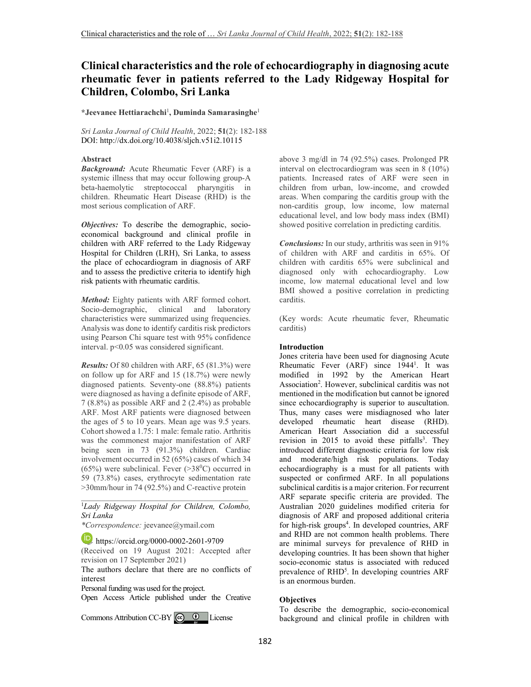# **Clinical characteristics and the role of echocardiography in diagnosing acute rheumatic fever in patients referred to the Lady Ridgeway Hospital for Children, Colombo, Sri Lanka**

**\*Jeevanee Hettiarachchi**<sup>1</sup> **, Duminda Samarasinghe**<sup>1</sup>

*Sri Lanka Journal of Child Health*, 2022; **51**(2): 182-188 DOI: http://dx.doi.org/10.4038/sljch.v51i2.10115

# **Abstract**

*Background:* Acute Rheumatic Fever (ARF) is a systemic illness that may occur following group-A beta-haemolytic streptococcal pharyngitis in children. Rheumatic Heart Disease (RHD) is the most serious complication of ARF.

*Objectives:* To describe the demographic, socioeconomical background and clinical profile in children with ARF referred to the Lady Ridgeway Hospital for Children (LRH), Sri Lanka, to assess the place of echocardiogram in diagnosis of ARF and to assess the predictive criteria to identify high risk patients with rheumatic carditis.

*Method:* Eighty patients with ARF formed cohort. Socio-demographic, clinical and laboratory characteristics were summarized using frequencies. Analysis was done to identify carditis risk predictors using Pearson Chi square test with 95% confidence interval. p<0.05 was considered significant.

*Results:* Of 80 children with ARF, 65 (81.3%) were on follow up for ARF and 15 (18.7%) were newly diagnosed patients. Seventy-one (88.8%) patients were diagnosed as having a definite episode of ARF, 7 (8.8%) as possible ARF and 2 (2.4%) as probable ARF. Most ARF patients were diagnosed between the ages of 5 to 10 years. Mean age was 9.5 years. Cohort showed a 1.75: 1 male: female ratio. Arthritis was the commonest major manifestation of ARF being seen in 73 (91.3%) children. Cardiac involvement occurred in 52 (65%) cases of which 34 (65%) were subclinical. Fever  $(>38^{\circ}C)$  occurred in 59 (73.8%) cases, erythrocyte sedimentation rate >30mm/hour in 74 (92.5%) and C-reactive protein

#### \_\_\_\_\_\_\_\_\_\_\_\_\_\_\_\_\_\_\_\_\_\_\_\_\_\_\_\_\_\_\_\_\_\_\_\_\_\_\_\_\_ <sup>1</sup>*Lady Ridgeway Hospital for Children, Colombo, Sri Lanka*

*\*Correspondence:* jeevanee@ymail.com

https://orcid.org/0000-0002-2601-9709

(Received on 19 August 2021: Accepted after revision on 17 September 2021)

The authors declare that there are no conflicts of interest

Personal funding was used for the project.

Open Access Article published under the Creative

Commons Attribution CC-BY  $\bigcirc$   $\bigcirc$  License

above 3 mg/dl in 74 (92.5%) cases. Prolonged PR interval on electrocardiogram was seen in 8 (10%) patients. Increased rates of ARF were seen in children from urban, low-income, and crowded areas. When comparing the carditis group with the non-carditis group, low income, low maternal educational level, and low body mass index (BMI) showed positive correlation in predicting carditis.

*Conclusions:* In our study, arthritis was seen in 91% of children with ARF and carditis in 65%. Of children with carditis 65% were subclinical and diagnosed only with echocardiography. Low income, low maternal educational level and low BMI showed a positive correlation in predicting carditis.

(Key words: Acute rheumatic fever, Rheumatic carditis)

# **Introduction**

Jones criteria have been used for diagnosing Acute Rheumatic Fever (ARF) since 1944<sup>1</sup>. It was modified in 1992 by the American Heart Association<sup>2</sup>. However, subclinical carditis was not mentioned in the modification but cannot be ignored since echocardiography is superior to auscultation. Thus, many cases were misdiagnosed who later developed rheumatic heart disease (RHD). American Heart Association did a successful revision in 2015 to avoid these pitfalls<sup>3</sup>. They introduced different diagnostic criteria for low risk and moderate/high risk populations. Today echocardiography is a must for all patients with suspected or confirmed ARF. In all populations subclinical carditis is a major criterion. For recurrent ARF separate specific criteria are provided. The Australian 2020 guidelines modified criteria for diagnosis of ARF and proposed additional criteria for high-risk groups<sup>4</sup>. In developed countries, ARF and RHD are not common health problems. There are minimal surveys for prevalence of RHD in developing countries. It has been shown that higher socio-economic status is associated with reduced prevalence of RHD<sup>5</sup>. In developing countries ARF is an enormous burden.

# **Objectives**

To describe the demographic, socio-economical background and clinical profile in children with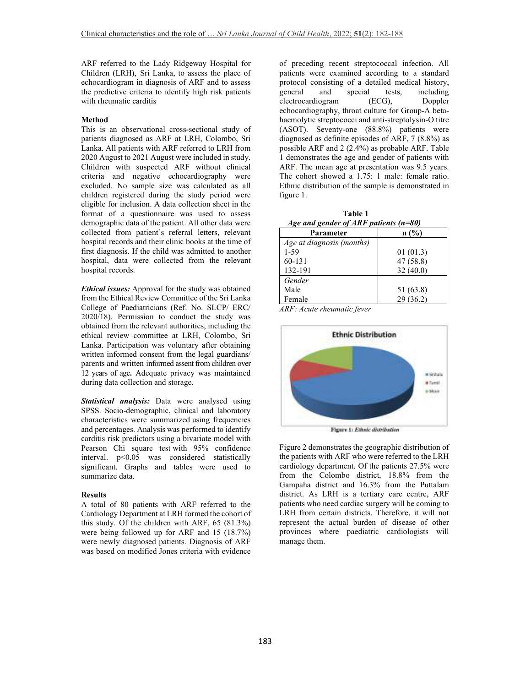ARF referred to the Lady Ridgeway Hospital for Children (LRH), Sri Lanka, to assess the place of echocardiogram in diagnosis of ARF and to assess the predictive criteria to identify high risk patients with rheumatic carditis

#### **Method**

This is an observational cross-sectional study of patients diagnosed as ARF at LRH, Colombo, Sri Lanka. All patients with ARF referred to LRH from 2020 August to 2021 August were included in study. Children with suspected ARF without clinical criteria and negative echocardiography were excluded. No sample size was calculated as all children registered during the study period were eligible for inclusion. A data collection sheet in the format of a questionnaire was used to assess demographic data of the patient. All other data were collected from patient's referral letters, relevant hospital records and their clinic books at the time of first diagnosis. If the child was admitted to another hospital, data were collected from the relevant hospital records.

*Ethical issues:* Approval for the study was obtained from the Ethical Review Committee of the Sri Lanka College of Paediatricians (Ref. No. SLCP/ ERC/ 2020/18). Permission to conduct the study was obtained from the relevant authorities, including the ethical review committee at LRH, Colombo, Sri Lanka. Participation was voluntary after obtaining written informed consent from the legal guardians/ parents and written informed assent from children over 12 years of age**.** Adequate privacy was maintained during data collection and storage.

*Statistical analysis:* Data were analysed using SPSS. Socio-demographic, clinical and laboratory characteristics were summarized using frequencies and percentages. Analysis was performed to identify carditis risk predictors using a bivariate model with Pearson Chi square test with 95% confidence interval.  $p<0.05$  was considered statistically significant. Graphs and tables were used to summarize data.

#### **Results**

A total of 80 patients with ARF referred to the Cardiology Department at LRH formed the cohort of this study. Of the children with ARF, 65 (81.3%) were being followed up for ARF and 15 (18.7%) were newly diagnosed patients. Diagnosis of ARF was based on modified Jones criteria with evidence

of preceding recent streptococcal infection. All patients were examined according to a standard protocol consisting of a detailed medical history, general and special tests, including<br>electrocardiogram (ECG), Doppler electrocardiogram (ECG), echocardiography, throat culture for Group-A betahaemolytic streptococci and anti-streptolysin-O titre (ASOT). Seventy-one (88.8%) patients were diagnosed as definite episodes of ARF, 7 (8.8%) as possible ARF and 2 (2.4%) as probable ARF. Table 1 demonstrates the age and gender of patients with ARF. The mean age at presentation was 9.5 years. The cohort showed a 1.75: 1 male: female ratio. Ethnic distribution of the sample is demonstrated in figure 1.

 **Table 1**  *Age and gender of ARF patients (n=80)* 

| Parameter                 | n(%)      |
|---------------------------|-----------|
| Age at diagnosis (months) |           |
| $1 - 59$                  | 01(01.3)  |
| 60-131                    | 47 (58.8) |
| 132-191                   | 32(40.0)  |
| Gender                    |           |
| Male                      | 51 (63.8) |
| Female                    | 29(36.2)  |

*ARF: Acute rheumatic fever* 



Figure 1: Ethnic distribution

Figure 2 demonstrates the geographic distribution of the patients with ARF who were referred to the LRH cardiology department. Of the patients 27.5% were from the Colombo district, 18.8% from the Gampaha district and 16.3% from the Puttalam district. As LRH is a tertiary care centre, ARF patients who need cardiac surgery will be coming to LRH from certain districts. Therefore, it will not represent the actual burden of disease of other provinces where paediatric cardiologists will manage them.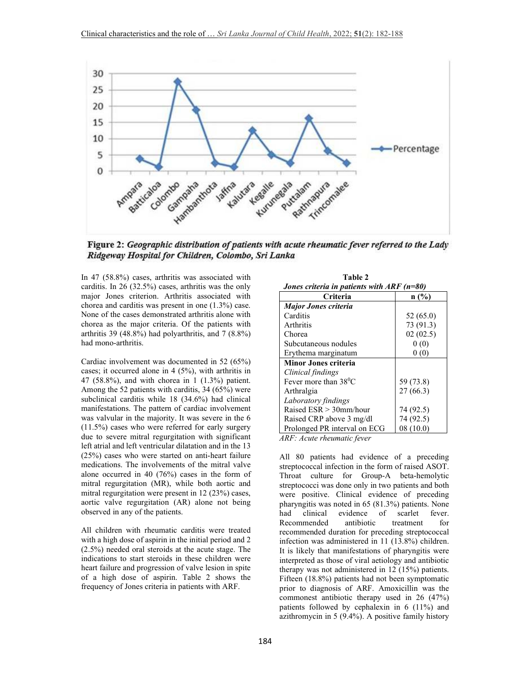

Figure 2: Geographic distribution of patients with acute rheumatic fever referred to the Lady Ridgeway Hospital for Children, Colombo, Sri Lanka

In 47 (58.8%) cases, arthritis was associated with carditis. In 26 (32.5%) cases, arthritis was the only major Jones criterion. Arthritis associated with chorea and carditis was present in one (1.3%) case. None of the cases demonstrated arthritis alone with chorea as the major criteria. Of the patients with arthritis 39 (48.8%) had polyarthritis, and 7 (8.8%) had mono-arthritis.

Cardiac involvement was documented in 52 (65%) cases; it occurred alone in 4 (5%), with arthritis in 47 (58.8%), and with chorea in 1 (1.3%) patient. Among the 52 patients with carditis, 34 (65%) were subclinical carditis while 18 (34.6%) had clinical manifestations. The pattern of cardiac involvement was valvular in the majority. It was severe in the 6 (11.5%) cases who were referred for early surgery due to severe mitral regurgitation with significant left atrial and left ventricular dilatation and in the 13 (25%) cases who were started on anti-heart failure medications. The involvements of the mitral valve alone occurred in 40 (76%) cases in the form of mitral regurgitation (MR), while both aortic and mitral regurgitation were present in 12 (23%) cases, aortic valve regurgitation (AR) alone not being observed in any of the patients.

All children with rheumatic carditis were treated with a high dose of aspirin in the initial period and 2 (2.5%) needed oral steroids at the acute stage. The indications to start steroids in these children were heart failure and progression of valve lesion in spite of a high dose of aspirin. Table 2 shows the frequency of Jones criteria in patients with ARF.

| Jones criteria in patients with $ARF(n=80)$ |           |  |
|---------------------------------------------|-----------|--|
| Criteria                                    | n(%)      |  |
| <b>Major Jones criteria</b>                 |           |  |
| Carditis                                    | 52 (65.0) |  |
| Arthritis                                   | 73 (91.3) |  |
| Chorea                                      | 02(02.5)  |  |
| Subcutaneous nodules                        | 0(0)      |  |
| Erythema marginatum                         | 0(0)      |  |
| <b>Minor Jones criteria</b>                 |           |  |
| Clinical findings                           |           |  |
| Fever more than $38^{\circ}$ C              | 59 (73.8) |  |
| Arthralgia                                  | 27(66.3)  |  |
| Laboratory findings                         |           |  |
| Raised $ESR > 30$ mm/hour                   | 74 (92.5) |  |
| Raised CRP above 3 mg/dl                    | 74 (92.5) |  |
| Prolonged PR interval on ECG                | 08 (10.0) |  |

 **Table 2** 

*ARF: Acute rheumatic fever* 

All 80 patients had evidence of a preceding streptococcal infection in the form of raised ASOT. Throat culture for Group-A beta-hemolytic streptococci was done only in two patients and both were positive. Clinical evidence of preceding pharyngitis was noted in 65 (81.3%) patients. None had clinical evidence of scarlet fever. Recommended antibiotic treatment for recommended duration for preceding streptococcal infection was administered in 11 (13.8%) children. It is likely that manifestations of pharyngitis were interpreted as those of viral aetiology and antibiotic therapy was not administered in 12 (15%) patients. Fifteen (18.8%) patients had not been symptomatic prior to diagnosis of ARF. Amoxicillin was the commonest antibiotic therapy used in 26 (47%) patients followed by cephalexin in 6 (11%) and azithromycin in 5 (9.4%). A positive family history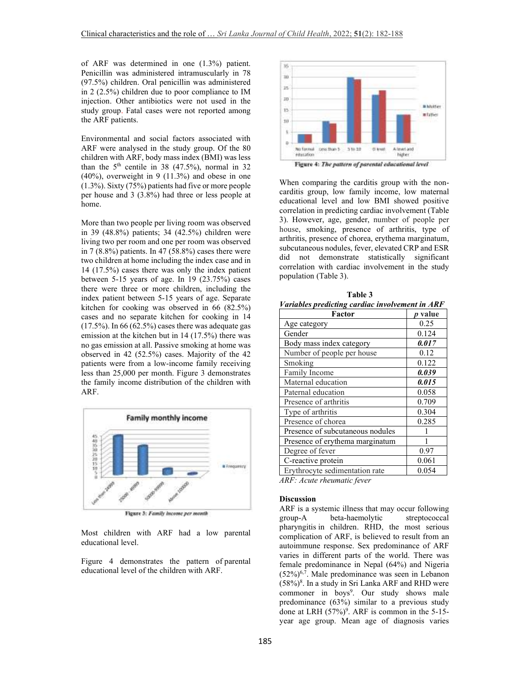of ARF was determined in one (1.3%) patient. Penicillin was administered intramuscularly in 78 (97.5%) children. Oral penicillin was administered in 2 (2.5%) children due to poor compliance to IM injection. Other antibiotics were not used in the study group. Fatal cases were not reported among the ARF patients.

Environmental and social factors associated with ARF were analysed in the study group. Of the 80 children with ARF, body mass index (BMI) was less than the  $5<sup>th</sup>$  centile in 38 (47.5%), normal in 32 (40%), overweight in 9 (11.3%) and obese in one (1.3%). Sixty (75%) patients had five or more people per house and 3 (3.8%) had three or less people at home.

More than two people per living room was observed in 39 (48.8%) patients; 34 (42.5%) children were living two per room and one per room was observed in  $7(8.8\%)$  patients. In  $47(58.8\%)$  cases there were two children at home including the index case and in 14 (17.5%) cases there was only the index patient between 5-15 years of age. In 19 (23.75%) cases there were three or more children, including the index patient between 5-15 years of age. Separate kitchen for cooking was observed in 66 (82.5%) cases and no separate kitchen for cooking in 14  $(17.5\%)$ . In 66 (62.5%) cases there was adequate gas emission at the kitchen but in 14 (17.5%) there was no gas emission at all. Passive smoking at home was observed in 42 (52.5%) cases. Majority of the 42 patients were from a low-income family receiving less than 25,000 per month. Figure 3 demonstrates the family income distribution of the children with ARF.



Figure 3: Family income per month

Most children with ARF had a low parental educational level.

Figure 4 demonstrates the pattern of parental educational level of the children with ARF.



When comparing the carditis group with the noncarditis group, low family income, low maternal educational level and low BMI showed positive correlation in predicting cardiac involvement (Table 3). However, age, gender, number of people per house, smoking, presence of arthritis, type of arthritis, presence of chorea, erythema marginatum, subcutaneous nodules, fever, elevated CRP and ESR did not demonstrate statistically significant correlation with cardiac involvement in the study population (Table 3).

| Factor                           | p value |
|----------------------------------|---------|
| Age category                     | 0.25    |
| Gender                           | 0.124   |
| Body mass index category         | 0.017   |
| Number of people per house       | 0.12    |
| Smoking                          | 0.122   |
| Family Income                    | 0.039   |
| Maternal education               | 0.015   |
| Paternal education               | 0.058   |
| Presence of arthritis            | 0.709   |
| Type of arthritis                | 0.304   |
| Presence of chorea               | 0.285   |
| Presence of subcutaneous nodules |         |
| Presence of erythema marginatum  |         |
| Degree of fever                  | 0.97    |
| C-reactive protein               | 0.061   |
| Erythrocyte sedimentation rate   | 0.054   |

 **Table 3**  *Variables predicting cardiac involvement in ARF* 

*ARF: Acute rheumatic fever* 

#### **Discussion**

ARF is a systemic illness that may occur following group-A beta-haemolytic streptococcal pharyngitis in children. RHD, the most serious complication of ARF, is believed to result from an autoimmune response. Sex predominance of ARF varies in different parts of the world. There was female predominance in Nepal (64%) and Nigeria  $(52\%)^{6,7}$ . Male predominance was seen in Lebanon  $(58\%)$ <sup>8</sup>. In a study in Sri Lanka ARF and RHD were commoner in boys<sup>9</sup>. Our study shows male predominance (63%) similar to a previous study done at LRH  $(57%)^9$ . ARF is common in the 5-15year age group. Mean age of diagnosis varies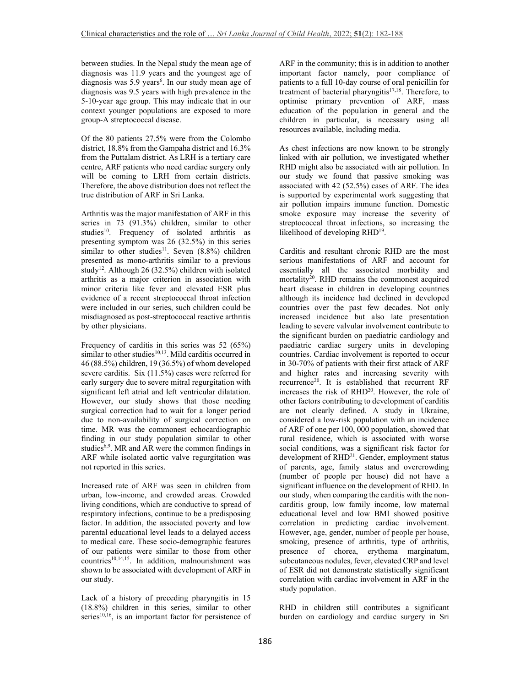between studies. In the Nepal study the mean age of diagnosis was 11.9 years and the youngest age of diagnosis was 5.9 years<sup>6</sup>. In our study mean age of diagnosis was 9.5 years with high prevalence in the 5-10-year age group. This may indicate that in our context younger populations are exposed to more group-A streptococcal disease.

Of the 80 patients 27.5% were from the Colombo district, 18.8% from the Gampaha district and 16.3% from the Puttalam district. As LRH is a tertiary care centre, ARF patients who need cardiac surgery only will be coming to LRH from certain districts. Therefore, the above distribution does not reflect the true distribution of ARF in Sri Lanka.

Arthritis was the major manifestation of ARF in this series in 73 (91.3%) children, similar to other studies<sup>10</sup>. Frequency of isolated arthritis as presenting symptom was 26 (32.5%) in this series similar to other studies<sup>11</sup>. Seven  $(8.8\%)$  children presented as mono-arthritis similar to a previous study<sup>12</sup>. Although 26 (32.5%) children with isolated arthritis as a major criterion in association with minor criteria like fever and elevated ESR plus evidence of a recent streptococcal throat infection were included in our series, such children could be misdiagnosed as post-streptococcal reactive arthritis by other physicians.

Frequency of carditis in this series was 52 (65%) similar to other studies<sup>10,13</sup>. Mild carditis occurred in 46 (88.5%) children, 19 (36.5%) of whom developed severe carditis. Six (11.5%) cases were referred for early surgery due to severe mitral regurgitation with significant left atrial and left ventricular dilatation. However, our study shows that those needing surgical correction had to wait for a longer period due to non-availability of surgical correction on time. MR was the commonest echocardiographic finding in our study population similar to other studies<sup>6,9</sup>. MR and AR were the common findings in ARF while isolated aortic valve regurgitation was not reported in this series.

Increased rate of ARF was seen in children from urban, low-income, and crowded areas. Crowded living conditions, which are conductive to spread of respiratory infections, continue to be a predisposing factor. In addition, the associated poverty and low parental educational level leads to a delayed access to medical care. These socio-demographic features of our patients were similar to those from other  $countries^{10,14,15}$ . In addition, malnourishment was shown to be associated with development of ARF in our study.

Lack of a history of preceding pharyngitis in 15 (18.8%) children in this series, similar to other series $10,16$ , is an important factor for persistence of ARF in the community; this is in addition to another important factor namely, poor compliance of patients to a full 10-day course of oral penicillin for treatment of bacterial pharyngitis<sup>17,18</sup>. Therefore, to optimise primary prevention of ARF, mass education of the population in general and the children in particular, is necessary using all resources available, including media.

As chest infections are now known to be strongly linked with air pollution, we investigated whether RHD might also be associated with air pollution. In our study we found that passive smoking was associated with 42 (52.5%) cases of ARF. The idea is supported by experimental work suggesting that air pollution impairs immune function. Domestic smoke exposure may increase the severity of streptococcal throat infections, so increasing the likelihood of developing RHD<sup>19</sup>.

Carditis and resultant chronic RHD are the most serious manifestations of ARF and account for essentially all the associated morbidity and mortality<sup>20</sup>. RHD remains the commonest acquired heart disease in children in developing countries although its incidence had declined in developed countries over the past few decades. Not only increased incidence but also late presentation leading to severe valvular involvement contribute to the significant burden on paediatric cardiology and paediatric cardiac surgery units in developing countries. Cardiac involvement is reported to occur in 30-70% of patients with their first attack of ARF and higher rates and increasing severity with recurrence<sup>20</sup>. It is established that recurrent RF increases the risk of  $RHD^{20}$ . However, the role of other factors contributing to development of carditis are not clearly defined. A study in Ukraine, considered a low-risk population with an incidence of ARF of one per 100, 000 population, showed that rural residence, which is associated with worse social conditions, was a significant risk factor for development of RHD<sup>21</sup>. Gender, employment status of parents, age, family status and overcrowding (number of people per house) did not have a significant influence on the development of RHD. In our study, when comparing the carditis with the noncarditis group, low family income, low maternal educational level and low BMI showed positive correlation in predicting cardiac involvement. However, age, gender, number of people per house, smoking, presence of arthritis, type of arthritis, presence of chorea, erythema marginatum, subcutaneous nodules, fever, elevated CRP and level of ESR did not demonstrate statistically significant correlation with cardiac involvement in ARF in the study population.

RHD in children still contributes a significant burden on cardiology and cardiac surgery in Sri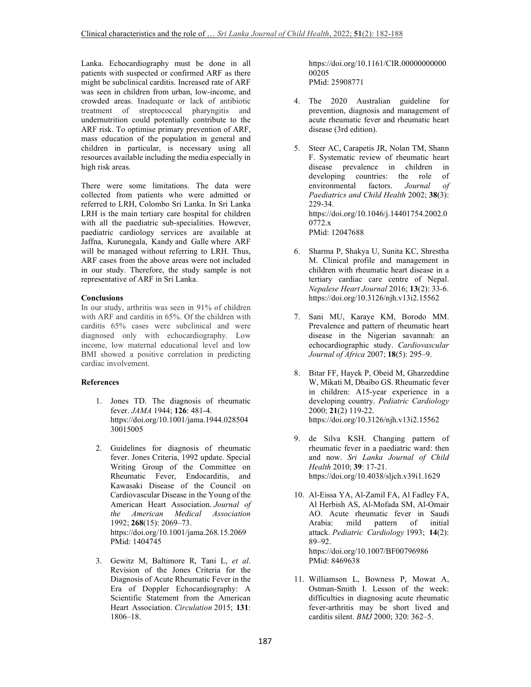Lanka. Echocardiography must be done in all patients with suspected or confirmed ARF as there might be subclinical carditis. Increased rate of ARF was seen in children from urban, low-income, and crowded areas. Inadequate or lack of antibiotic treatment of streptococcal pharyngitis and undernutrition could potentially contribute to the ARF risk. To optimise primary prevention of ARF, mass education of the population in general and children in particular, is necessary using all resources available including the media especially in high risk areas.

There were some limitations. The data were collected from patients who were admitted or referred to LRH, Colombo Sri Lanka. In Sri Lanka LRH is the main tertiary care hospital for children with all the paediatric sub-specialities. However, paediatric cardiology services are available at Jaffna, Kurunegala, Kandy and Galle where ARF will be managed without referring to LRH. Thus, ARF cases from the above areas were not included in our study. Therefore, the study sample is not representative of ARF in Sri Lanka.

# **Conclusions**

In our study, arthritis was seen in 91% of children with ARF and carditis in 65%. Of the children with carditis 65% cases were subclinical and were diagnosed only with echocardiography. Low income, low maternal educational level and low BMI showed a positive correlation in predicting cardiac involvement.

#### **References**

- 1. Jones TD. The diagnosis of rheumatic fever. *JAMA* 1944; **126**: 481-4. https://doi.org/10.1001/jama.1944.028504 30015005
- 2. Guidelines for diagnosis of rheumatic fever. Jones Criteria, 1992 update. Special Writing Group of the Committee on Rheumatic Fever, Endocarditis, and Kawasaki Disease of the Council on Cardiovascular Disease in the Young of the American Heart Association. *Journal of the American Medical Association* 1992; **268**(15): 2069–73. https://doi.org/10.1001/jama.268.15.2069 PMid: 1404745
- 3. Gewitz M, Baltimore R, Tani L, *et al*. Revision of the Jones Criteria for the Diagnosis of Acute Rheumatic Fever in the Era of Doppler Echocardiography: A Scientific Statement from the American Heart Association. *Circulation* 2015; **131**: 1806–18.

https://doi.org/10.1161/CIR.00000000000 00205 PMid: 25908771

- 4. The 2020 Australian guideline for prevention, diagnosis and management of acute rheumatic fever and rheumatic heart disease (3rd edition).
- 5. Steer AC, Carapetis JR, Nolan TM, Shann F. Systematic review of rheumatic heart disease prevalence in children in developing countries: the role of environmental factors. *Journal of Paediatrics and Child Health* 2002; **38**(3): 229-34. https://doi.org/10.1046/j.14401754.2002.0 0772.x PMid: 12047688
- 6. Sharma P, Shakya U, Sunita KC, Shrestha M. Clinical profile and management in children with rheumatic heart disease in a tertiary cardiac care centre of Nepal. *Nepalese Heart Journal* 2016; **13**(2): 33-6. https://doi.org/10.3126/njh.v13i2.15562
- 7. Sani MU, Karaye KM, Borodo MM. Prevalence and pattern of rheumatic heart disease in the Nigerian savannah: an echocardiographic study. *Cardiovascular Journal of Africa* 2007; **18**(5): 295–9.
- 8. Bitar FF, Hayek P, Obeid M, Gharzeddine W, Mikati M, Dbaibo GS. Rheumatic fever in children: A15-year experience in a developing country. *Pediatric Cardiology*  2000; **21**(2) 119-22. https://doi.org/10.3126/njh.v13i2.15562
- 9. de Silva KSH. Changing pattern of rheumatic fever in a paediatric ward: then and now. *Sri Lanka Journal of Child Health* 2010; **39**: 17-21. https://doi.org/10.4038/sljch.v39i1.1629
- 10. Al-Eissa YA, Al-Zamil FA, Al Fadley FA, Al Herbish AS, Al-Mofada SM, Al-Omair AO. Acute rheumatic fever in Saudi Arabia: mild pattern of initial attack. *Pediatric Cardiology* 1993; **14**(2): 89–92. https://doi.org/10.1007/BF00796986 PMid: 8469638
- 11. Williamson L, Bowness P, Mowat A, Ostman-Smith I. Lesson of the week: difficulties in diagnosing acute rheumatic fever-arthritis may be short lived and carditis silent. *BMJ* 2000; 320: 362–5.